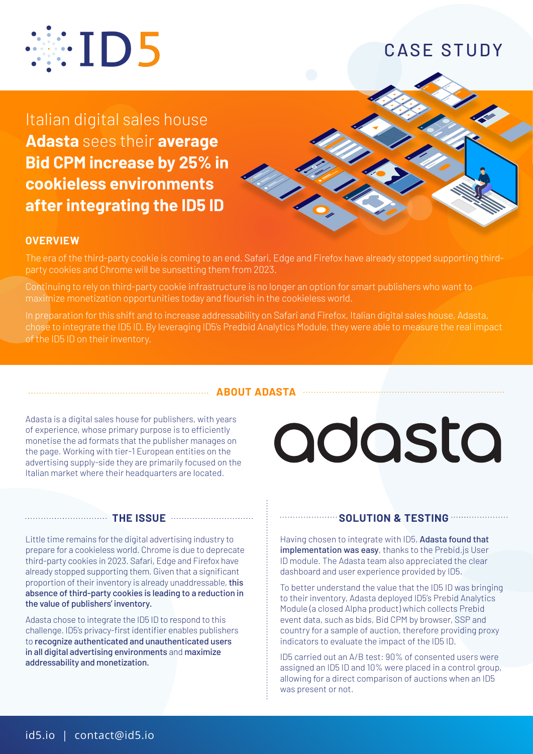

# CASE STUDY

Italian digital sales house **Adasta** sees their **average Bid CPM increase by 25% in cookieless environments after integrating the ID5 ID**



## **OVERVIEW**

The era of the third-party cookie is coming to an end. Safari, Edge and Firefox have already stopped supporting thirdparty cookies and Chrome will be sunsetting them from 2023.

Continuing to rely on third-party cookie infrastructure is no longer an option for smart publishers who want to maximize monetization opportunities today and flourish in the cookieless world.

In preparation for this shift and to increase addressability on Safari and Firefox, Italian digital sales house, Adasta, chose to integrate the ID5 ID. By leveraging ID5's Predbid Analytics Module, they were able to measure the real impact of the ID5 ID on their inventory.

#### **ABOUT ADASTA**

Adasta is a digital sales house for publishers, with years of experience, whose primary purpose is to efficiently monetise the ad formats that the publisher manages on the page. Working with tier-1 European entities on the advertising supply-side they are primarily focused on the Italian market where their headquarters are located.

## **THE ISSUE**

Little time remains for the digital advertising industry to prepare for a cookieless world. Chrome is due to deprecate third-party cookies in 2023. Safari, Edge and Firefox have already stopped supporting them. Given that a significant proportion of their inventory is already unaddressable, this absence of third-party cookies is leading to a reduction in the value of publishers' inventory.

Adasta chose to integrate the ID5 ID to respond to this challenge. ID5's privacy-first identifier enables publishers to recognize authenticated and unauthenticated users in all digital advertising environments and maximize addressability and monetization.

# adasta

### **SOLUTION & TESTING**

Having chosen to integrate with ID5, Adasta found that implementation was easy, thanks to the Prebid. is User ID module. The Adasta team also appreciated the clear dashboard and user experience provided by ID5.

To better understand the value that the ID5 ID was bringing to their inventory, Adasta deployed ID5's Prebid Analytics Module (a closed Alpha product) which collects Prebid event data, such as bids, Bid CPM by browser, SSP and country for a sample of auction, therefore providing proxy indicators to evaluate the impact of the ID5 ID.

ID5 carried out an A/B test: 90% of consented users were assigned an ID5 ID and 10% were placed in a control group, allowing for a direct comparison of auctions when an ID5 was present or not.